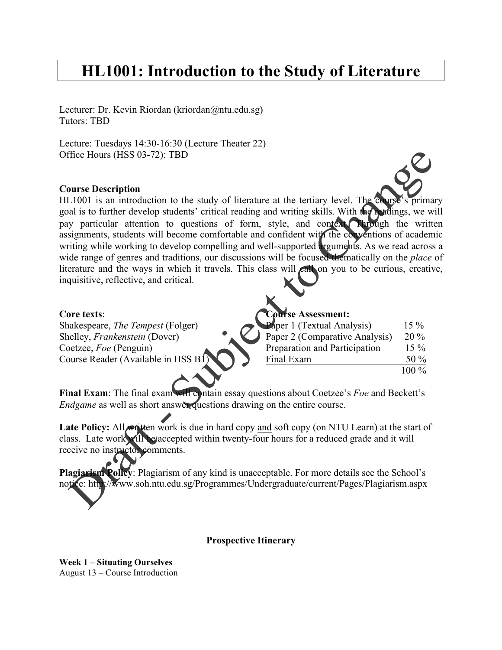# **HL1001: Introduction to the Study of Literature**

Lecturer: Dr. Kevin Riordan (kriordan@ntu.edu.sg) Tutors: TBD

Lecture: Tuesdays 14:30-16:30 (Lecture Theater 22) Office Hours (HSS 03-72): TBD

## **Course Description**

HL1001 is an introduction to the study of literature at the tertiary level. The course's primary goal is to further develop students' critical reading and writing skills. With the readings, we will pay particular attention to questions of form, style, and context. Through the written assignments, students will become comfortable and confident with the conventions of academic writing while working to develop compelling and well-supported arguments. As we read across a wide range of genres and traditions, our discussions will be focused thematically on the *place* of literature and the ways in which it travels. This class will  $\epsilon$  all on you to be curious, creative, inquisitive, reflective, and critical.

## **Core texts**:

| Core texts:                              | Course Assessment:             |         |
|------------------------------------------|--------------------------------|---------|
| Shakespeare, <i>The Tempest</i> (Folger) | Paper 1 (Textual Analysis)     | $15\%$  |
| Shelley, <i>Frankenstein</i> (Dover)     | Paper 2 (Comparative Analysis) | $20\%$  |
| Coetzee, <i>Foe</i> (Penguin)            | Preparation and Participation  | $15\%$  |
| Course Reader (Available in HSS B1)      | Final Exam                     | 50 $\%$ |
|                                          |                                | $100\%$ |

**Final Exam**: The final exam will contain essay questions about Coetzee's *Foe* and Beckett's *Endgame* as well as short answer questions drawing on the entire course.

Late Policy: All *m* nitten work is due in hard copy and soft copy (on NTU Learn) at the start of class. Late work will be accepted within twenty-four hours for a reduced grade and it will receive no instructor comments.

**Plagiarism Policy**: Plagiarism of any kind is unacceptable. For more details see the School's notice: http://www.soh.ntu.edu.sg/Programmes/Undergraduate/current/Pages/Plagiarism.aspx

### **Prospective Itinerary**

**Week 1 – Situating Ourselves** August 13 – Course Introduction